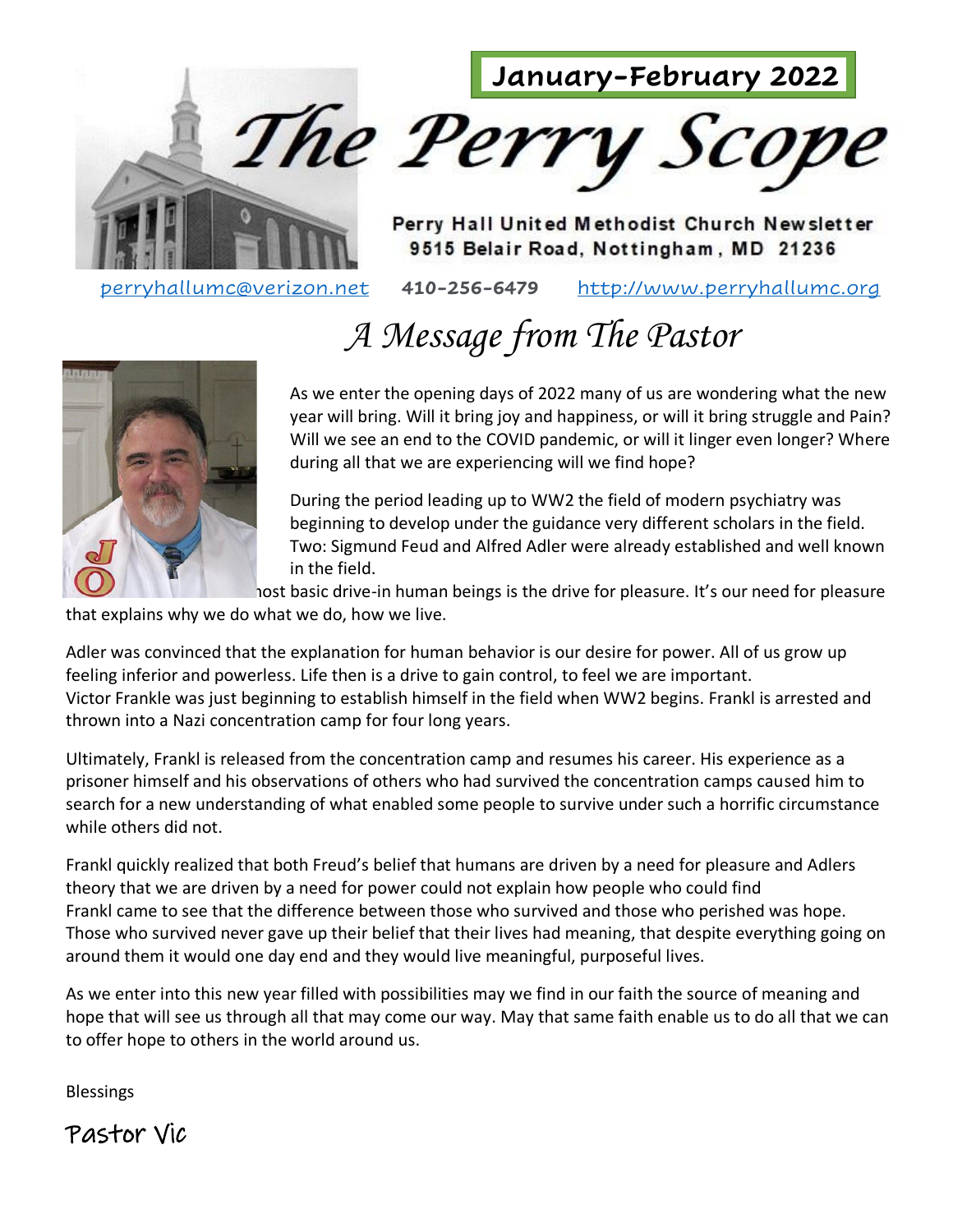



Perry Hall United Methodist Church Newsletter 9515 Belair Road, Nottingham, MD 21236

[perryhallumc@verizon.net](mailto:perryhallumc@verizon.net) **410-256-6479** [http://www.perryhallumc.org](http://www.perryhallumc.org/)

# *A Message from The Pastor*



As we enter the opening days of 2022 many of us are wondering what the new year will bring. Will it bring joy and happiness, or will it bring struggle and Pain? Will we see an end to the COVID pandemic, or will it linger even longer? Where during all that we are experiencing will we find hope?

During the period leading up to WW2 the field of modern psychiatry was beginning to develop under the guidance very different scholars in the field. Two: Sigmund Feud and Alfred Adler were already established and well known in the field.

host basic drive-in human beings is the drive for pleasure. It's our need for pleasure

that explains why we do what we do, how we live.

Adler was convinced that the explanation for human behavior is our desire for power. All of us grow up feeling inferior and powerless. Life then is a drive to gain control, to feel we are important. Victor Frankle was just beginning to establish himself in the field when WW2 begins. Frankl is arrested and thrown into a Nazi concentration camp for four long years.

Ultimately, Frankl is released from the concentration camp and resumes his career. His experience as a prisoner himself and his observations of others who had survived the concentration camps caused him to search for a new understanding of what enabled some people to survive under such a horrific circumstance while others did not.

Frankl quickly realized that both Freud's belief that humans are driven by a need for pleasure and Adlers theory that we are driven by a need for power could not explain how people who could find Frankl came to see that the difference between those who survived and those who perished was hope. Those who survived never gave up their belief that their lives had meaning, that despite everything going on around them it would one day end and they would live meaningful, purposeful lives.

As we enter into this new year filled with possibilities may we find in our faith the source of meaning and hope that will see us through all that may come our way. May that same faith enable us to do all that we can to offer hope to others in the world around us.

**Blessings** 

Pastor Vic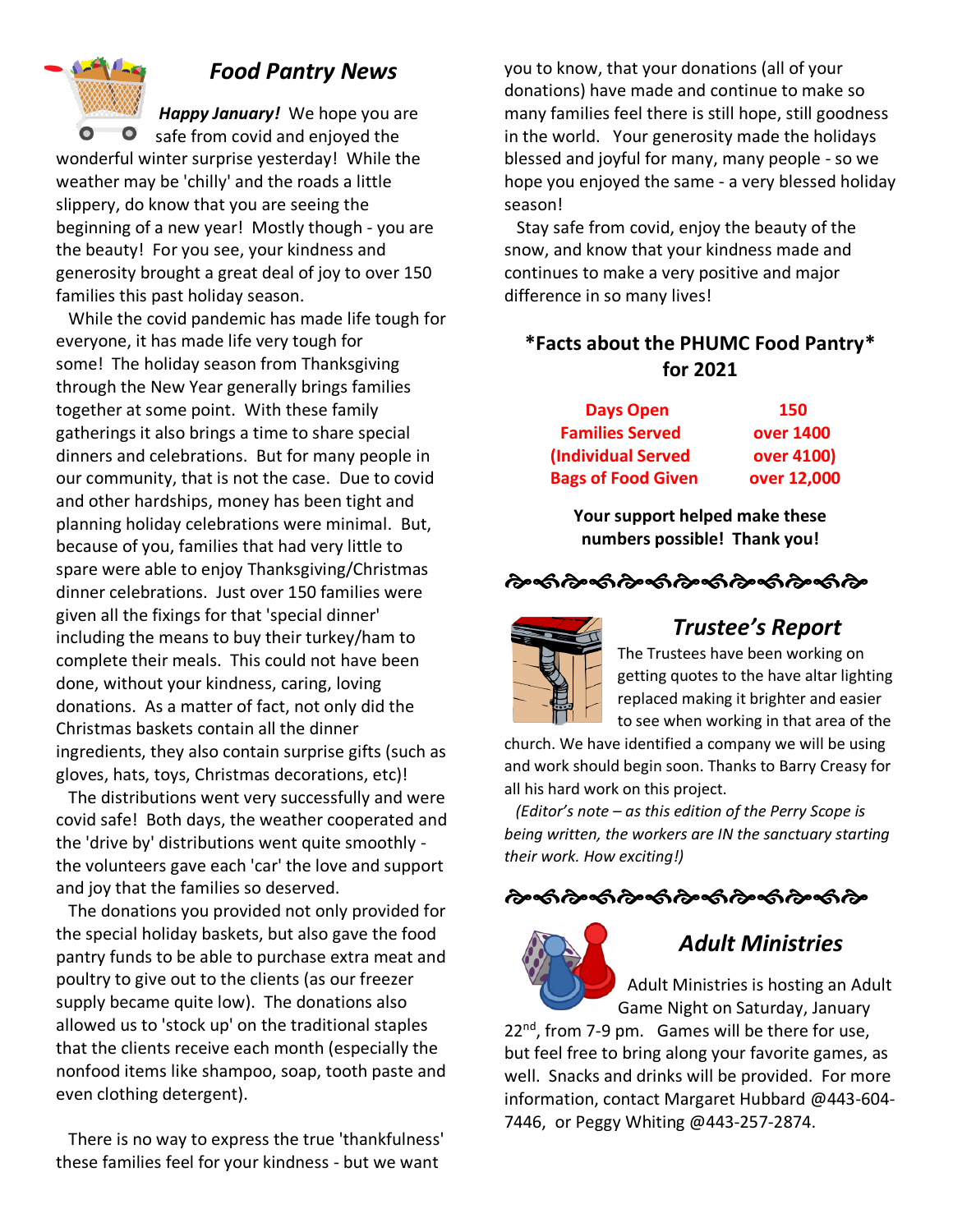

## *Food Pantry News*

*Happy January!* We hope you are safe from covid and enjoyed the wonderful winter surprise yesterday! While the weather may be 'chilly' and the roads a little slippery, do know that you are seeing the beginning of a new year! Mostly though - you are the beauty! For you see, your kindness and generosity brought a great deal of joy to over 150 families this past holiday season.

 While the covid pandemic has made life tough for everyone, it has made life very tough for some! The holiday season from Thanksgiving through the New Year generally brings families together at some point. With these family gatherings it also brings a time to share special dinners and celebrations. But for many people in our community, that is not the case. Due to covid and other hardships, money has been tight and planning holiday celebrations were minimal. But, because of you, families that had very little to spare were able to enjoy Thanksgiving/Christmas dinner celebrations. Just over 150 families were given all the fixings for that 'special dinner' including the means to buy their turkey/ham to complete their meals. This could not have been done, without your kindness, caring, loving donations. As a matter of fact, not only did the Christmas baskets contain all the dinner ingredients, they also contain surprise gifts (such as gloves, hats, toys, Christmas decorations, etc)!

 The distributions went very successfully and were covid safe! Both days, the weather cooperated and the 'drive by' distributions went quite smoothly the volunteers gave each 'car' the love and support and joy that the families so deserved.

 The donations you provided not only provided for the special holiday baskets, but also gave the food pantry funds to be able to purchase extra meat and poultry to give out to the clients (as our freezer supply became quite low). The donations also allowed us to 'stock up' on the traditional staples that the clients receive each month (especially the nonfood items like shampoo, soap, tooth paste and even clothing detergent).

 There is no way to express the true 'thankfulness' these families feel for your kindness - but we want

you to know, that your donations (all of your donations) have made and continue to make so many families feel there is still hope, still goodness in the world. Your generosity made the holidays blessed and joyful for many, many people - so we hope you enjoyed the same - a very blessed holiday season!

 Stay safe from covid, enjoy the beauty of the snow, and know that your kindness made and continues to make a very positive and major difference in so many lives!

### **\*Facts about the PHUMC Food Pantry\* for 2021**

| <b>Days Open</b>          | <b>150</b>  |
|---------------------------|-------------|
| <b>Families Served</b>    | over 1400   |
| (Individual Served        | over 4100)  |
| <b>Bags of Food Given</b> | over 12,000 |

**Your support helped make these numbers possible! Thank you!**

## 



### *Trustee's Report*

The Trustees have been working on getting quotes to the have altar lighting replaced making it brighter and easier to see when working in that area of the

church. We have identified a company we will be using and work should begin soon. Thanks to Barry Creasy for all his hard work on this project.

 *(Editor's note – as this edition of the Perry Scope is being written, the workers are IN the sanctuary starting their work. How exciting!)*

## ઌૡ૽૽ૺઌૡ૽ઌૹ૽ઌ૿ૡૻૡઌઌઌઌ



## *Adult Ministries*

Adult Ministries is hosting an Adult Game Night on Saturday, January

22<sup>nd</sup>, from 7-9 pm. Games will be there for use, but feel free to bring along your favorite games, as well. Snacks and drinks will be provided. For more information, contact Margaret Hubbard @443-604- 7446, or Peggy Whiting @443-257-2874.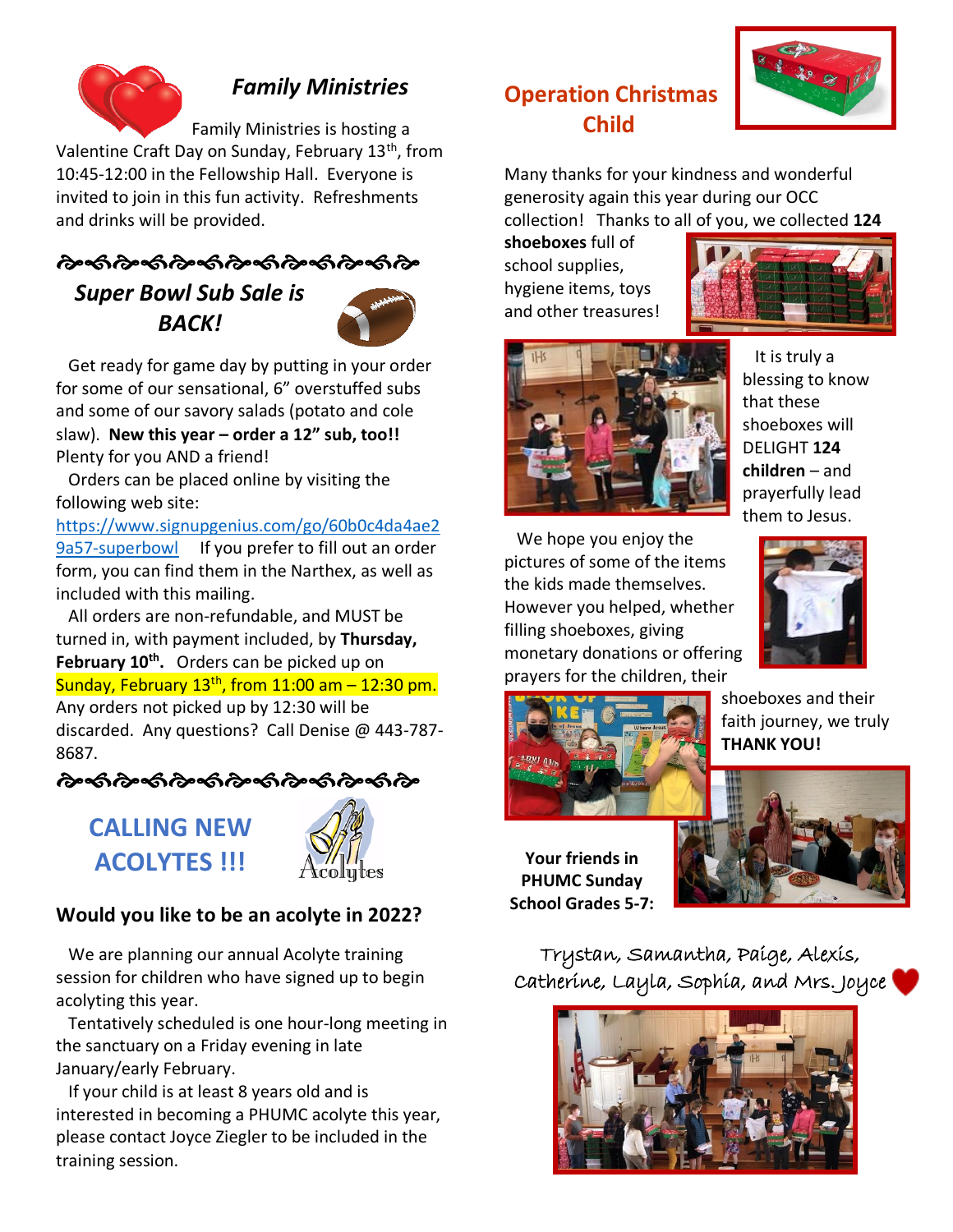

## *Family Ministries*

Family Ministries is hosting a Valentine Craft Day on Sunday, February 13<sup>th</sup>, from 10:45-12:00 in the Fellowship Hall. Everyone is invited to join in this fun activity. Refreshments and drinks will be provided.

# <u> તેન્</u>තી તેન્જી તેન્જી તેન્જી તેન્જી તેન્જી તેન્

*Super Bowl Sub Sale is BACK!*



 Get ready for game day by putting in your order for some of our sensational, 6" overstuffed subs and some of our savory salads (potato and cole slaw). **New this year – order a 12" sub, too!!** Plenty for you AND a friend!

 Orders can be placed online by visiting the following web site:

[https://www.signupgenius.com/go/60b0c4da4ae2](https://www.signupgenius.com/go/60b0c4da4ae29a57-superbowl) [9a57-superbowl](https://www.signupgenius.com/go/60b0c4da4ae29a57-superbowl) If you prefer to fill out an order form, you can find them in the Narthex, as well as included with this mailing.

 All orders are non-refundable, and MUST be turned in, with payment included, by **Thursday, February 10th .** Orders can be picked up on Sunday, February  $13<sup>th</sup>$ , from 11:00 am  $-$  12:30 pm. Any orders not picked up by 12:30 will be discarded. Any questions? Call Denise @ 443-787- 8687.

**CALLING NEW ACOLYTES !!!**



## **Would you like to be an acolyte in 2022?**

 We are planning our annual Acolyte training session for children who have signed up to begin acolyting this year.

 Tentatively scheduled is one hour-long meeting in the sanctuary on a Friday evening in late January/early February.

 If your child is at least 8 years old and is interested in becoming a PHUMC acolyte this year, please contact Joyce Ziegler to be included in the training session.

# **Operation Christmas Child**



Many thanks for your kindness and wonderful generosity again this year during our OCC collection! Thanks to all of you, we collected **124** 

**shoeboxes** full of school supplies, hygiene items, toys and other treasures!





 It is truly a blessing to know that these shoeboxes will DELIGHT **124 children** – and prayerfully lead them to Jesus.

 We hope you enjoy the pictures of some of the items the kids made themselves. However you helped, whether filling shoeboxes, giving monetary donations or offering prayers for the children, their





shoeboxes and their faith journey, we truly **THANK YOU!** 

**Your friends in PHUMC Sunday School Grades 5-7:**

Trystan, Samantha, Paige, Alexis, Catherine, Layla, Sophia, and Mrs. Joyce